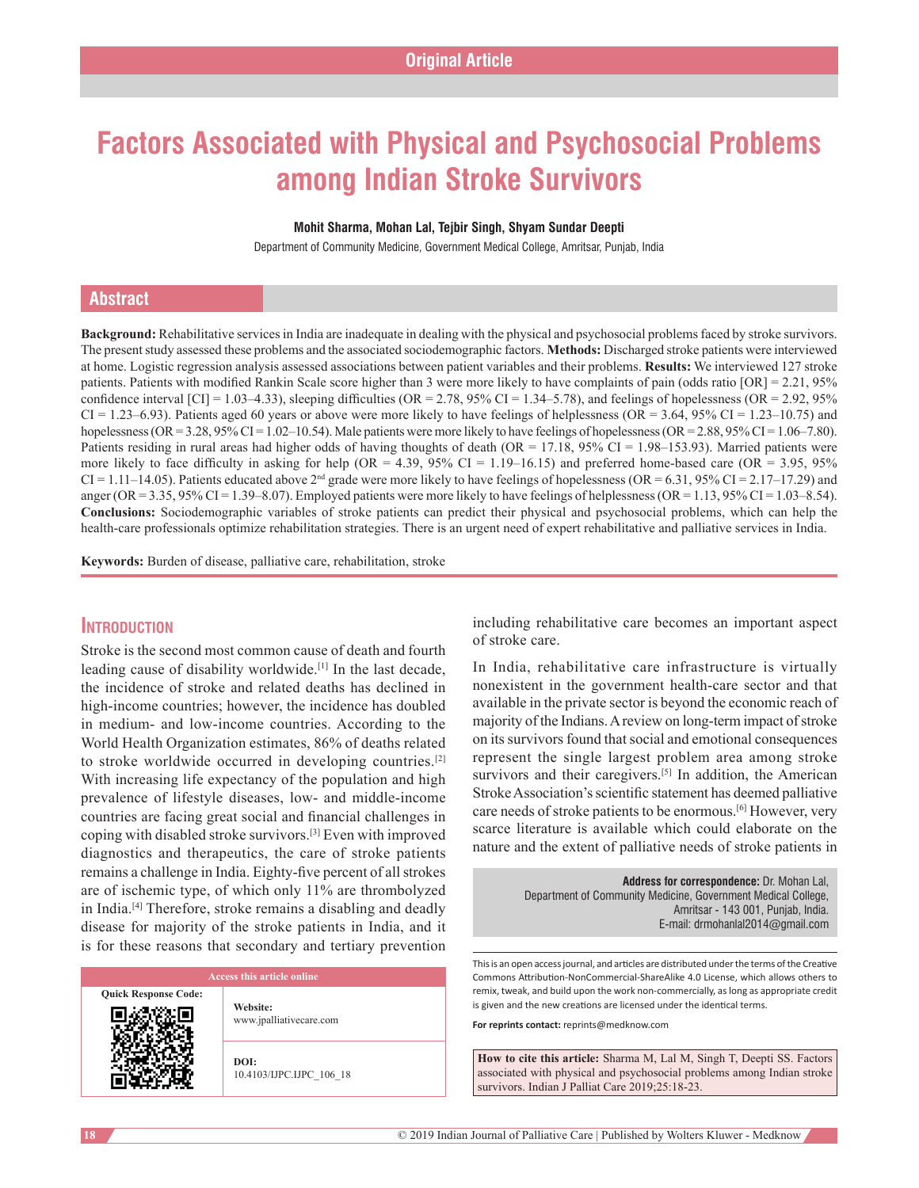# **Factors Associated with Physical and Psychosocial Problems among Indian Stroke Survivors**

#### **Mohit Sharma, Mohan Lal, Tejbir Singh, Shyam Sundar Deepti**

Department of Community Medicine, Government Medical College, Amritsar, Punjab, India

# **Abstract**

**Background:** Rehabilitative services in India are inadequate in dealing with the physical and psychosocial problems faced by stroke survivors. The present study assessed these problems and the associated sociodemographic factors. **Methods:** Discharged stroke patients were interviewed at home. Logistic regression analysis assessed associations between patient variables and their problems. **Results:** We interviewed 127 stroke patients. Patients with modified Rankin Scale score higher than 3 were more likely to have complaints of pain (odds ratio [OR] = 2.21, 95% confidence interval  $\text{[CI]} = 1.03-4.33$ ), sleeping difficulties (OR = 2.78, 95% CI = 1.34–5.78), and feelings of hopelessness (OR = 2.92, 95%  $CI = 1.23-6.93$ ). Patients aged 60 years or above were more likely to have feelings of helplessness (OR = 3.64, 95% CI = 1.23–10.75) and hopelessness (OR = 3.28, 95% CI = 1.02–10.54). Male patients were more likely to have feelings of hopelessness (OR = 2.88, 95% CI = 1.06–7.80). Patients residing in rural areas had higher odds of having thoughts of death (OR = 17.18, 95% CI = 1.98–153.93). Married patients were more likely to face difficulty in asking for help (OR = 4.39, 95% CI = 1.19–16.15) and preferred home-based care (OR = 3.95, 95%  $CI = 1.11-14.05$ ). Patients educated above  $2^{nd}$  grade were more likely to have feelings of hopelessness (OR = 6.31, 95% CI = 2.17–17.29) and anger (OR = 3.35, 95% CI = 1.39–8.07). Employed patients were more likely to have feelings of helplessness (OR = 1.13, 95% CI = 1.03–8.54). **Conclusions:** Sociodemographic variables of stroke patients can predict their physical and psychosocial problems, which can help the health-care professionals optimize rehabilitation strategies. There is an urgent need of expert rehabilitative and palliative services in India.

**Keywords:** Burden of disease, palliative care, rehabilitation, stroke

# **Introduction**

Stroke is the second most common cause of death and fourth leading cause of disability worldwide.[1] In the last decade, the incidence of stroke and related deaths has declined in high-income countries; however, the incidence has doubled in medium- and low-income countries. According to the World Health Organization estimates, 86% of deaths related to stroke worldwide occurred in developing countries.[2] With increasing life expectancy of the population and high prevalence of lifestyle diseases, low- and middle-income countries are facing great social and financial challenges in coping with disabled stroke survivors.[3] Even with improved diagnostics and therapeutics, the care of stroke patients remains a challenge in India. Eighty-five percent of all strokes are of ischemic type, of which only 11% are thrombolyzed in India.[4] Therefore, stroke remains a disabling and deadly disease for majority of the stroke patients in India, and it is for these reasons that secondary and tertiary prevention

**Quick Response Code:**

**Website:** www.jpalliativecare.com

**DOI:** 10.4103/IJPC.IJPC\_106\_18 including rehabilitative care becomes an important aspect of stroke care.

In India, rehabilitative care infrastructure is virtually nonexistent in the government health-care sector and that available in the private sector is beyond the economic reach of majority of the Indians. A review on long-term impact of stroke on its survivors found that social and emotional consequences represent the single largest problem area among stroke survivors and their caregivers.<sup>[5]</sup> In addition, the American Stroke Association's scientific statement has deemed palliative care needs of stroke patients to be enormous.[6] However, very scarce literature is available which could elaborate on the nature and the extent of palliative needs of stroke patients in

> **Address for correspondence:** Dr. Mohan Lal, Department of Community Medicine, Government Medical College, Amritsar ‑ 143 001, Punjab, India. E‑mail: drmohanlal2014@gmail.com

This is an open access journal, and articles are distributed under the terms of the Creative Commons Attribution‑NonCommercial‑ShareAlike 4.0 License, which allows others to remix, tweak, and build upon the work non‑commercially, as long as appropriate credit is given and the new creations are licensed under the identical terms.

**For reprints contact:** reprints@medknow.com

**How to cite this article:** Sharma M, Lal M, Singh T, Deepti SS. Factors associated with physical and psychosocial problems among Indian stroke survivors. Indian J Palliat Care 2019;25:18-23.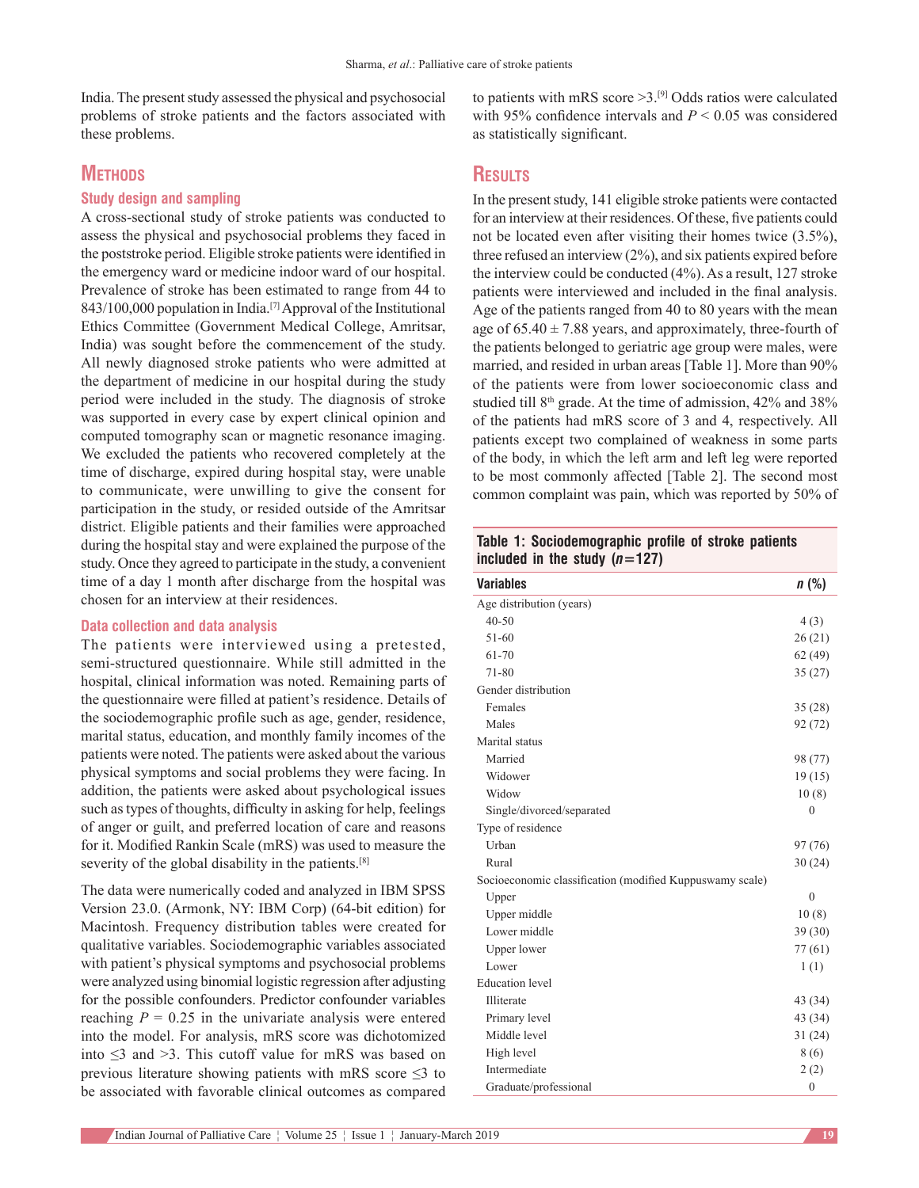India. The present study assessed the physical and psychosocial problems of stroke patients and the factors associated with these problems.

# **METHODS**

### **Study design and sampling**

A cross-sectional study of stroke patients was conducted to assess the physical and psychosocial problems they faced in the poststroke period. Eligible stroke patients were identified in the emergency ward or medicine indoor ward of our hospital. Prevalence of stroke has been estimated to range from 44 to 843/100,000 population in India.[7] Approval of the Institutional Ethics Committee (Government Medical College, Amritsar, India) was sought before the commencement of the study. All newly diagnosed stroke patients who were admitted at the department of medicine in our hospital during the study period were included in the study. The diagnosis of stroke was supported in every case by expert clinical opinion and computed tomography scan or magnetic resonance imaging. We excluded the patients who recovered completely at the time of discharge, expired during hospital stay, were unable to communicate, were unwilling to give the consent for participation in the study, or resided outside of the Amritsar district. Eligible patients and their families were approached during the hospital stay and were explained the purpose of the study. Once they agreed to participate in the study, a convenient time of a day 1 month after discharge from the hospital was chosen for an interview at their residences.

#### **Data collection and data analysis**

The patients were interviewed using a pretested, semi-structured questionnaire. While still admitted in the hospital, clinical information was noted. Remaining parts of the questionnaire were filled at patient's residence. Details of the sociodemographic profile such as age, gender, residence, marital status, education, and monthly family incomes of the patients were noted. The patients were asked about the various physical symptoms and social problems they were facing. In addition, the patients were asked about psychological issues such astypes of thoughts, difficulty in asking for help, feelings of anger or guilt, and preferred location of care and reasons for it. Modified Rankin Scale (mRS) was used to measure the severity of the global disability in the patients.<sup>[8]</sup>

The data were numerically coded and analyzed in IBM SPSS Version 23.0. (Armonk, NY: IBM Corp) (64-bit edition) for Macintosh. Frequency distribution tables were created for qualitative variables. Sociodemographic variables associated with patient's physical symptoms and psychosocial problems were analyzed using binomial logistic regression after adjusting for the possible confounders. Predictor confounder variables reaching  $P = 0.25$  in the univariate analysis were entered into the model. For analysis, mRS score was dichotomized into ≤3 and >3. This cutoff value for mRS was based on previous literature showing patients with mRS score ≤3 to be associated with favorable clinical outcomes as compared to patients with mRS score  $>3$ .<sup>[9]</sup> Odds ratios were calculated with 95% confidence intervals and *P* < 0.05 was considered as statistically significant.

# **Results**

In the present study, 141 eligible stroke patients were contacted for an interview at their residences. Of these, five patients could not be located even after visiting their homes twice (3.5%), three refused an interview (2%), and six patients expired before the interview could be conducted (4%). As a result, 127 stroke patients were interviewed and included in the final analysis. Age of the patients ranged from 40 to 80 years with the mean age of  $65.40 \pm 7.88$  years, and approximately, three-fourth of the patients belonged to geriatric age group were males, were married, and resided in urban areas [Table 1]. More than 90% of the patients were from lower socioeconomic class and studied till 8<sup>th</sup> grade. At the time of admission, 42% and 38% of the patients had mRS score of 3 and 4, respectively. All patients except two complained of weakness in some parts of the body, in which the left arm and left leg were reported to be most commonly affected [Table 2]. The second most common complaint was pain, which was reported by 50% of

**Table 1: Sociodemographic profile of stroke patients**  included in the study  $(n=127)$ 

| <b>Variables</b>                                         | n(%)         |
|----------------------------------------------------------|--------------|
| Age distribution (years)                                 |              |
| $40 - 50$                                                | 4(3)         |
| $51 - 60$                                                | 26(21)       |
| 61-70                                                    | 62(49)       |
| 71-80                                                    | 35(27)       |
| Gender distribution                                      |              |
| Females                                                  | 35(28)       |
| Males                                                    | 92 (72)      |
| Marital status                                           |              |
| Married                                                  | 98 (77)      |
| Widower                                                  | 19(15)       |
| Widow                                                    | 10(8)        |
| Single/divorced/separated                                | $\theta$     |
| Type of residence                                        |              |
| Urban                                                    | 97 (76)      |
| Rural                                                    | 30(24)       |
| Socioeconomic classification (modified Kuppuswamy scale) |              |
| Upper                                                    | $\theta$     |
| Upper middle                                             | 10(8)        |
| Lower middle                                             | 39(30)       |
| Upper lower                                              | 77(61)       |
| Lower                                                    | 1(1)         |
| <b>Education</b> level                                   |              |
| Illiterate                                               | 43 (34)      |
| Primary level                                            | 43 (34)      |
| Middle level                                             | 31(24)       |
| High level                                               | 8 (6)        |
| Intermediate                                             | 2(2)         |
| Graduate/professional                                    | $\mathbf{0}$ |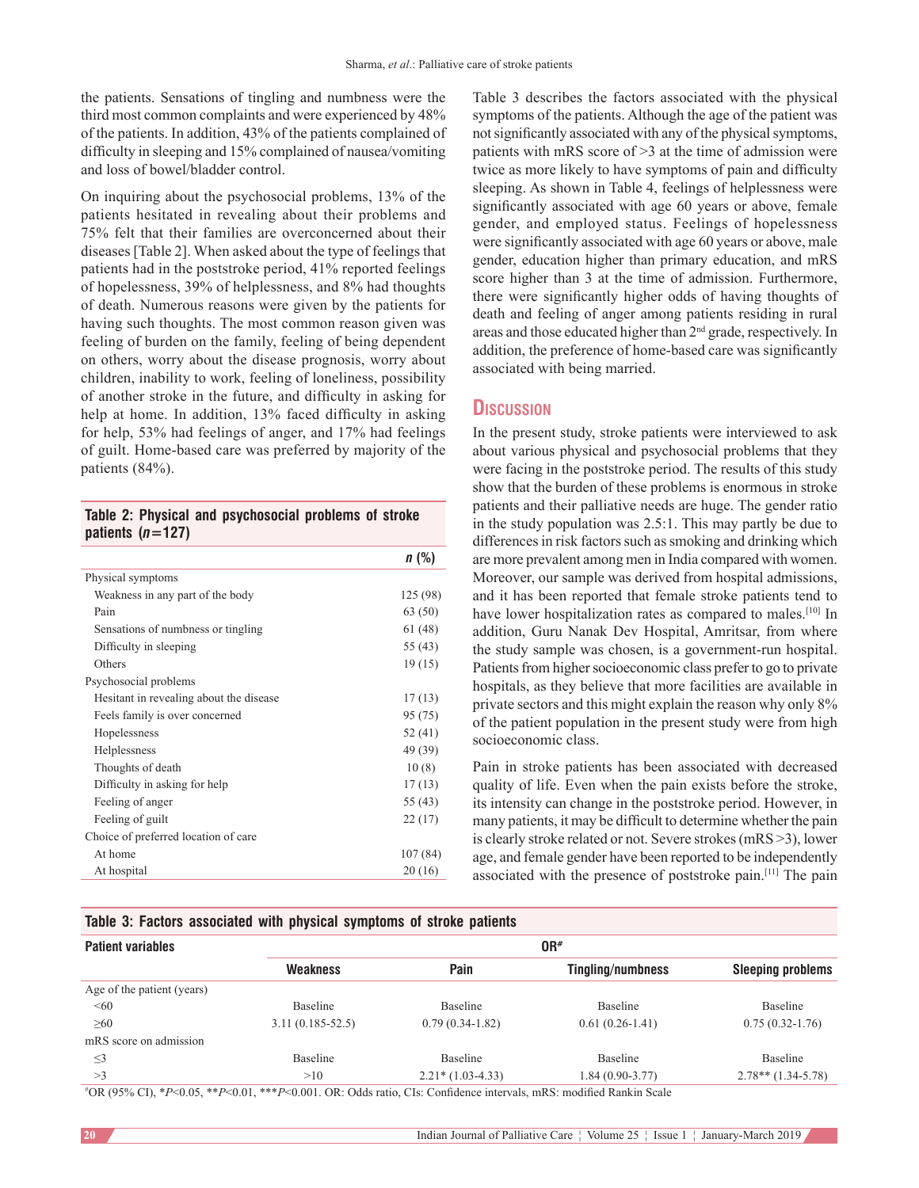the patients. Sensations of tingling and numbness were the third most common complaints and were experienced by 48% of the patients. In addition, 43% of the patients complained of difficulty in sleeping and 15% complained of nausea/vomiting and loss of bowel/bladder control.

On inquiring about the psychosocial problems, 13% of the patients hesitated in revealing about their problems and 75% felt that their families are overconcerned about their diseases [Table 2]. When asked about the type of feelings that patients had in the poststroke period, 41% reported feelings of hopelessness, 39% of helplessness, and 8% had thoughts of death. Numerous reasons were given by the patients for having such thoughts. The most common reason given was feeling of burden on the family, feeling of being dependent on others, worry about the disease prognosis, worry about children, inability to work, feeling of loneliness, possibility of another stroke in the future, and difficulty in asking for help at home. In addition, 13% faced difficulty in asking for help, 53% had feelings of anger, and 17% had feelings of guilt. Home-based care was preferred by majority of the patients (84%).

**Table 2: Physical and psychosocial problems of stroke patients (***n***=127)**

|                                          | n(%)     |
|------------------------------------------|----------|
| Physical symptoms                        |          |
| Weakness in any part of the body         | 125 (98) |
| Pain                                     | 63 (50)  |
| Sensations of numbness or tingling       | 61(48)   |
| Difficulty in sleeping                   | 55 (43)  |
| Others                                   | 19(15)   |
| Psychosocial problems                    |          |
| Hesitant in revealing about the disease. | 17(13)   |
| Feels family is over concerned           | 95 (75)  |
| Hopelessness                             | 52 (41)  |
| Helplessness                             | 49 (39)  |
| Thoughts of death                        | 10(8)    |
| Difficulty in asking for help            | 17(13)   |
| Feeling of anger                         | 55 (43)  |
| Feeling of guilt                         | 22(17)   |
| Choice of preferred location of care     |          |
| At home                                  | 107(84)  |
| At hospital                              | 20(16)   |

Table 3 describes the factors associated with the physical symptoms of the patients. Although the age of the patient was not significantly associated with any of the physical symptoms, patients with mRS score of >3 at the time of admission were twice as more likely to have symptoms of pain and difficulty sleeping. As shown in Table 4, feelings of helplessness were significantly associated with age 60 years or above, female gender, and employed status. Feelings of hopelessness were significantly associated with age 60 years or above, male gender, education higher than primary education, and mRS score higher than 3 at the time of admission. Furthermore, there were significantly higher odds of having thoughts of death and feeling of anger among patients residing in rural areas and those educated higher than 2<sup>nd</sup> grade, respectively. In addition, the preference of home-based care was significantly associated with being married.

# **Discussion**

In the present study, stroke patients were interviewed to ask about various physical and psychosocial problems that they were facing in the poststroke period. The results of this study show that the burden of these problems is enormous in stroke patients and their palliative needs are huge. The gender ratio in the study population was 2.5:1. This may partly be due to differences in risk factors such as smoking and drinking which are more prevalent among men in India compared with women. Moreover, our sample was derived from hospital admissions, and it has been reported that female stroke patients tend to have lower hospitalization rates as compared to males.<sup>[10]</sup> In addition, Guru Nanak Dev Hospital, Amritsar, from where the study sample was chosen, is a government-run hospital. Patients from higher socioeconomic class prefer to go to private hospitals, as they believe that more facilities are available in private sectors and this might explain the reason why only 8% of the patient population in the present study were from high socioeconomic class.

Pain in stroke patients has been associated with decreased quality of life. Even when the pain exists before the stroke, its intensity can change in the poststroke period. However, in many patients, it may be difficult to determine whether the pain is clearly stroke related or not. Severe strokes(mRS >3), lower age, and female gender have been reported to be independently associated with the presence of poststroke pain.[11] The pain

#### **Table 3: Factors associated with physical symptoms of stroke patients**

| <b>Patient variables</b>   |                      |                    | OR#               |                          |
|----------------------------|----------------------|--------------------|-------------------|--------------------------|
|                            | <b>Weakness</b>      | Pain               | Tingling/numbness | <b>Sleeping problems</b> |
| Age of the patient (years) |                      |                    |                   |                          |
| <60                        | Baseline             | Baseline           | Baseline          | Baseline                 |
| $\geq 60$                  | $3.11(0.185 - 52.5)$ | $0.79(0.34-1.82)$  | $0.61(0.26-1.41)$ | $0.75(0.32 - 1.76)$      |
| mRS score on admission     |                      |                    |                   |                          |
| $\leq$ 3                   | <b>Baseline</b>      | Baseline           | Baseline          | Baseline                 |
| >3                         | >10                  | $2.21*(1.03-4.33)$ | $1.84(0.90-3.77)$ | $2.78**$ (1.34-5.78)     |

# OR (95% CI), \**P*<0.05, \*\**P*<0.01, \*\*\**P*<0.001. OR: Odds ratio, CIs: Confidence intervals, mRS: modified Rankin Scale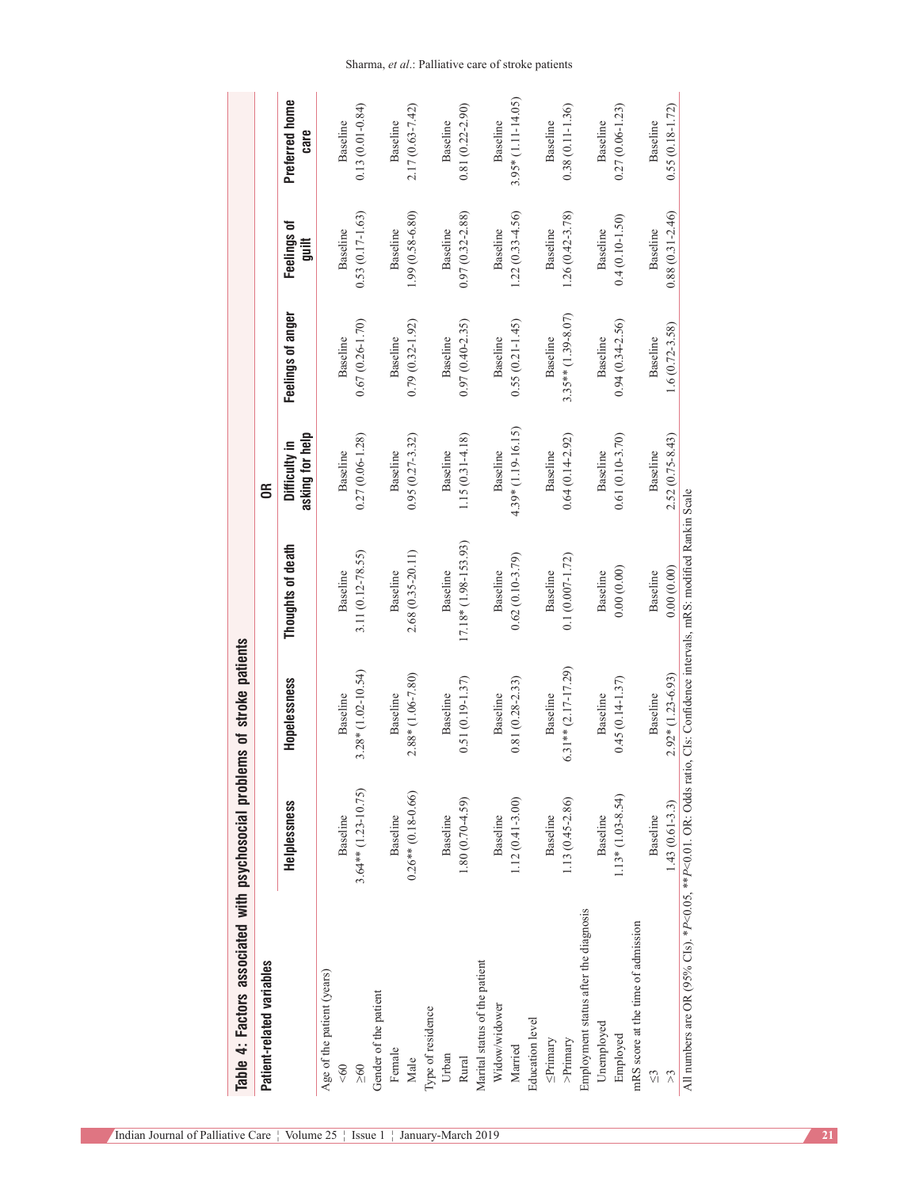| Table 4: Factors associated with psychosocial problems of stroke patients                                              |                       |                       |                      |                                  |                      |                      |                        |
|------------------------------------------------------------------------------------------------------------------------|-----------------------|-----------------------|----------------------|----------------------------------|----------------------|----------------------|------------------------|
| Patient-related variables                                                                                              |                       |                       |                      | 6Ř                               |                      |                      |                        |
|                                                                                                                        | Helplessness          | Hopelessness          | Thoughts of death    | asking for help<br>Difficulty in | Feelings of anger    | Feelings of<br>guilt | Preferred home<br>care |
| Age of the patient (years)                                                                                             |                       |                       |                      |                                  |                      |                      |                        |
| $\leqslant 60$                                                                                                         | Baseline              | Baseline              | Baseline             | Baseline                         | Baseline             | Baseline             | Baseline               |
| $\frac{8}{2}$                                                                                                          | $3.64**$ (1.23-10.75) | $3.28*(1.02 - 10.54)$ | 3.11 (0.12-78.55)    | $0.27(0.06 - 1.28)$              | $0.67(0.26 - 1.70)$  | $0.53(0.17-1.63)$    | $0.13(0.01 - 0.84)$    |
| Gender of the patient                                                                                                  |                       |                       |                      |                                  |                      |                      |                        |
| Female                                                                                                                 | Baseline              | Baseline              | Baseline             | Baseline                         | Baseline             | Baseline             | Baseline               |
| Male                                                                                                                   | $0.26**$ (0.18-0.66)  | 2.88* (1.06-7.80)     | 2.68 (0.35-20.11)    | $0.95(0.27 - 3.32)$              | $0.79(0.32 - 1.92)$  | 1.99 (0.58-6.80)     | $2.17(0.63 - 7.42)$    |
| Type of residence                                                                                                      |                       |                       |                      |                                  |                      |                      |                        |
| Urban                                                                                                                  | Baseline              | Baseline              | Baseline             | Baseline                         | Baseline             | Baseline             | Baseline               |
| Rural                                                                                                                  | $1.80(0.70-4.59)$     | $0.51(0.19 - 1.37)$   | 17.18* (1.98-153.93) | $1.15(0.31 - 4.18)$              | $0.97(0.40 - 2.35)$  | $0.97(0.32 - 2.88)$  | $0.81(0.22 - 2.90)$    |
| Marital status of the patient                                                                                          |                       |                       |                      |                                  |                      |                      |                        |
| Widow/widower                                                                                                          | Baseline              | Baseline              | Baseline             | Baseline                         | Baseline             | Baseline             | Baseline               |
| Married                                                                                                                | $1.12(0.41 - 3.00)$   | $0.81(0.28-2.33)$     | $0.62(0.10-3.79)$    | 4.39* (1.19-16.15)               | $0.55(0.21 - 1.45)$  | $1.22(0.33 - 4.56)$  | $3.95*(1.11-14.05)$    |
| Education level                                                                                                        |                       |                       |                      |                                  |                      |                      |                        |
| $\leq$ Primary                                                                                                         | Baseline              | Baseline              | Baseline             | Baseline                         | Baseline             | Baseline             | Baseline               |
| $>$ Primary                                                                                                            | 1.13 (0.45-2.86)      | $6.31**$ (2.17-17.29) | $0.1(0.007 - 1.72)$  | $0.64(0.14 - 2.92)$              | $3.35**$ (1.39-8.07) | $1.26(0.42 - 3.78)$  | $0.38(0.11-1.36)$      |
| Employment status after the diagnosis                                                                                  |                       |                       |                      |                                  |                      |                      |                        |
| Unemployed                                                                                                             | Baseline              | Baseline              | Baseline             | Baseline                         | Baseline             | Baseline             | Baseline               |
| Employed                                                                                                               | $1.13*(1.03-8.54)$    | $0.45(0.14-1.37)$     | 0.00(0.00)           | $0.61(0.10-3.70)$                | $0.94(0.34 - 2.56)$  | $0.4(0.10-1.50)$     | $0.27(0.06-1.23)$      |
| mRS score at the time of admission                                                                                     |                       |                       |                      |                                  |                      |                      |                        |
| ΔJ                                                                                                                     | Baseline              | Baseline              | Baseline             | Baseline                         | Baseline             | Baseline             | Baseline               |
|                                                                                                                        | $1.43(0.61 - 3.3)$    | $2.92*(1.23-6.93)$    | 0.00(0.00)           | 2.52 (0.75-8.43)                 | $1.6(0.72 - 3.58)$   | $0.88(0.31 - 2.46)$  | $0.55(0.18-1.72)$      |
| All numbers are OR (95% Cls). *P<0.05, **P<0.01. OR: Odds ratio, Cls: Confidence intervals, mRS: modified Rankin Scale |                       |                       |                      |                                  |                      |                      |                        |

# Sharma, *et al*.: Palliative care of stroke patients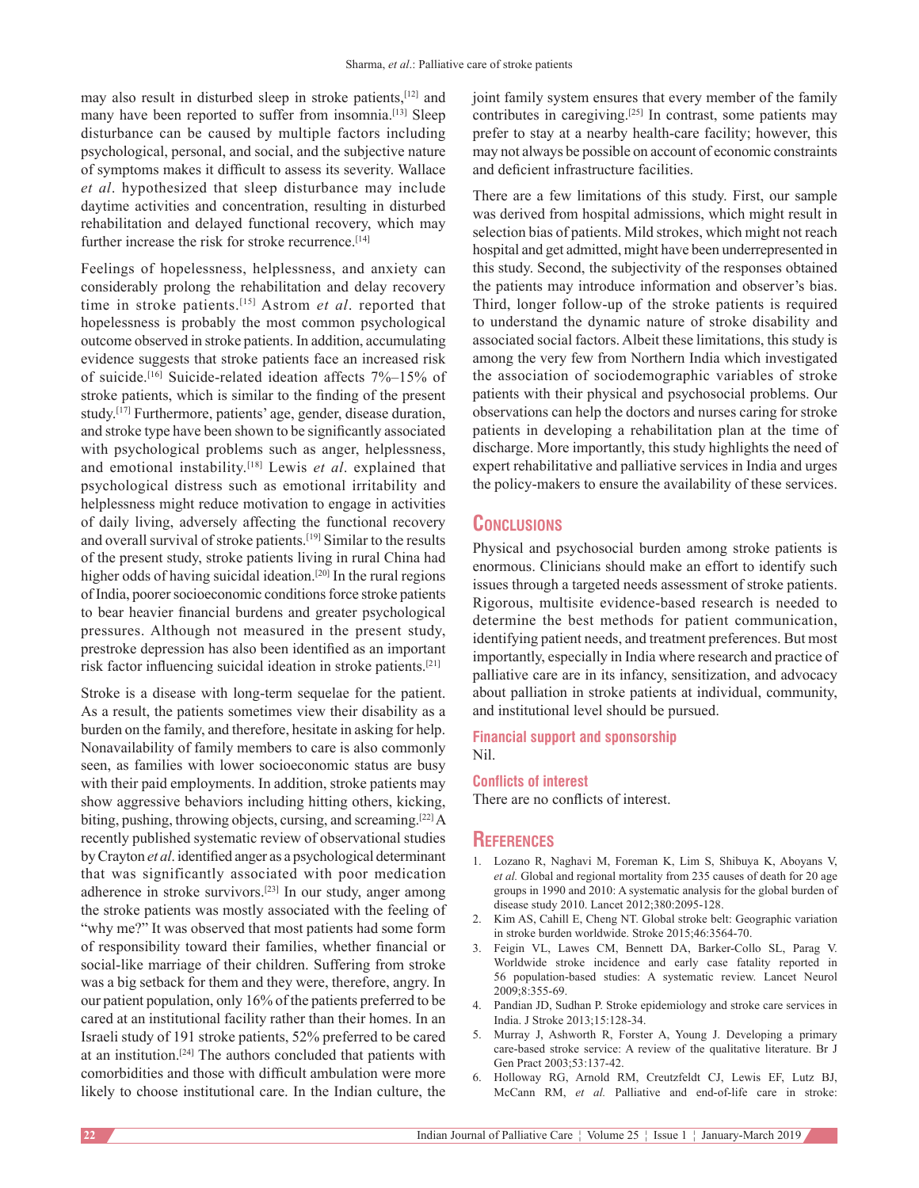may also result in disturbed sleep in stroke patients, [12] and many have been reported to suffer from insomnia.<sup>[13]</sup> Sleep disturbance can be caused by multiple factors including psychological, personal, and social, and the subjective nature of symptoms makes it difficult to assess its severity. Wallace *et al*. hypothesized that sleep disturbance may include daytime activities and concentration, resulting in disturbed rehabilitation and delayed functional recovery, which may further increase the risk for stroke recurrence.<sup>[14]</sup>

Feelings of hopelessness, helplessness, and anxiety can considerably prolong the rehabilitation and delay recovery time in stroke patients.[15] Astrom *et al*. reported that hopelessness is probably the most common psychological outcome observed in stroke patients. In addition, accumulating evidence suggests that stroke patients face an increased risk of suicide.<sup>[16]</sup> Suicide-related ideation affects 7%–15% of stroke patients, which is similar to the finding of the present study.[17] Furthermore, patients' age, gender, disease duration, and stroke type have been shown to be significantly associated with psychological problems such as anger, helplessness, and emotional instability.[18] Lewis *et al*. explained that psychological distress such as emotional irritability and helplessness might reduce motivation to engage in activities of daily living, adversely affecting the functional recovery and overall survival of stroke patients.[19] Similar to the results of the present study, stroke patients living in rural China had higher odds of having suicidal ideation.<sup>[20]</sup> In the rural regions of India, poorer socioeconomic conditions force stroke patients to bear heavier financial burdens and greater psychological pressures. Although not measured in the present study, prestroke depression has also been identified as an important risk factor influencing suicidal ideation in stroke patients.[21]

Stroke is a disease with long-term sequelae for the patient. As a result, the patients sometimes view their disability as a burden on the family, and therefore, hesitate in asking for help. Nonavailability of family members to care is also commonly seen, as families with lower socioeconomic status are busy with their paid employments. In addition, stroke patients may show aggressive behaviors including hitting others, kicking, biting, pushing, throwing objects, cursing, and screaming.[22] A recently published systematic review of observational studies by Crayton *et al*. identified anger as a psychological determinant that was significantly associated with poor medication adherence in stroke survivors.[23] In our study, anger among the stroke patients was mostly associated with the feeling of "why me?" It was observed that most patients had some form of responsibility toward their families, whether financial or social-like marriage of their children. Suffering from stroke was a big setback for them and they were, therefore, angry. In our patient population, only 16% of the patients preferred to be cared at an institutional facility rather than their homes. In an Israeli study of 191 stroke patients, 52% preferred to be cared at an institution.[24] The authors concluded that patients with comorbidities and those with difficult ambulation were more likely to choose institutional care. In the Indian culture, the

joint family system ensures that every member of the family contributes in caregiving.[25] In contrast, some patients may prefer to stay at a nearby health-care facility; however, this may not always be possible on account of economic constraints and deficient infrastructure facilities.

There are a few limitations of this study. First, our sample was derived from hospital admissions, which might result in selection bias of patients. Mild strokes, which might not reach hospital and get admitted, might have been underrepresented in this study. Second, the subjectivity of the responses obtained the patients may introduce information and observer's bias. Third, longer follow-up of the stroke patients is required to understand the dynamic nature of stroke disability and associated social factors. Albeit these limitations, this study is among the very few from Northern India which investigated the association of sociodemographic variables of stroke patients with their physical and psychosocial problems. Our observations can help the doctors and nurses caring for stroke patients in developing a rehabilitation plan at the time of discharge. More importantly, this study highlights the need of expert rehabilitative and palliative services in India and urges the policy-makers to ensure the availability of these services.

# **Conclusions**

Physical and psychosocial burden among stroke patients is enormous. Clinicians should make an effort to identify such issues through a targeted needs assessment of stroke patients. Rigorous, multisite evidence-based research is needed to determine the best methods for patient communication, identifying patient needs, and treatment preferences. But most importantly, especially in India where research and practice of palliative care are in its infancy, sensitization, and advocacy about palliation in stroke patients at individual, community, and institutional level should be pursued.

#### **Financial support and sponsorship** Nil.

# **Conflicts of interest**

There are no conflicts of interest.

#### **References**

- 1. Lozano R, Naghavi M, Foreman K, Lim S, Shibuya K, Aboyans V, *et al.* Global and regional mortality from 235 causes of death for 20 age groups in 1990 and 2010: A systematic analysis for the global burden of disease study 2010. Lancet 2012;380:2095-128.
- 2. Kim AS, Cahill E, Cheng NT. Global stroke belt: Geographic variation in stroke burden worldwide. Stroke 2015;46:3564-70.
- 3. Feigin VL, Lawes CM, Bennett DA, Barker-Collo SL, Parag V. Worldwide stroke incidence and early case fatality reported in 56 population-based studies: A systematic review. Lancet Neurol 2009;8:355-69.
- 4. Pandian JD, Sudhan P. Stroke epidemiology and stroke care services in India. J Stroke 2013;15:128-34.
- 5. Murray J, Ashworth R, Forster A, Young J. Developing a primary care-based stroke service: A review of the qualitative literature. Br J Gen Pract 2003;53:137-42.
- 6. Holloway RG, Arnold RM, Creutzfeldt CJ, Lewis EF, Lutz BJ, McCann RM, *et al.* Palliative and end-of-life care in stroke: